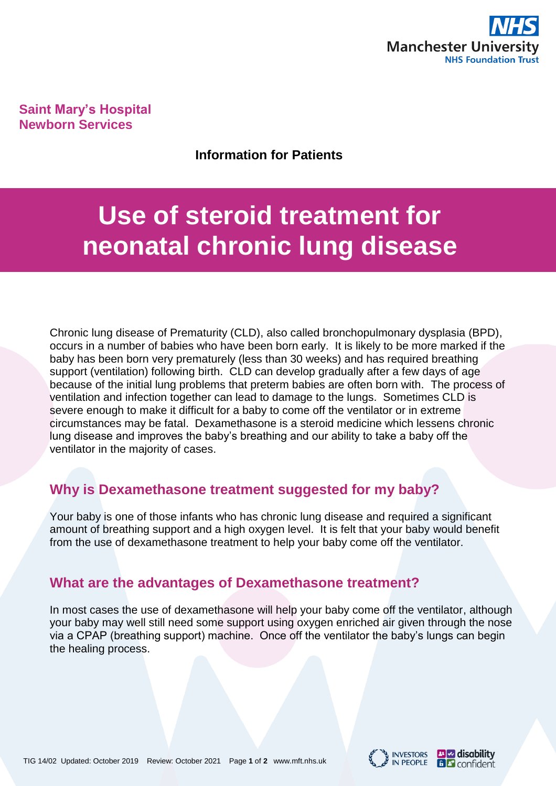

**Saint Mary's Hospital Newborn Services**

**Information for Patients**

# **Use of steroid treatment for neonatal chronic lung disease**

Chronic lung disease of Prematurity (CLD), also called bronchopulmonary dysplasia (BPD), occurs in a number of babies who have been born early. It is likely to be more marked if the baby has been born very prematurely (less than 30 weeks) and has required breathing support (ventilation) following birth. CLD can develop gradually after a few days of age because of the initial lung problems that preterm babies are often born with. The process of ventilation and infection together can lead to damage to the lungs. Sometimes CLD is severe enough to make it difficult for a baby to come off the ventilator or in extreme circumstances may be fatal. Dexamethasone is a steroid medicine which lessens chronic lung disease and improves the baby's breathing and our ability to take a baby off the ventilator in the majority of cases.

# **Why is Dexamethasone treatment suggested for my baby?**

Your baby is one of those infants who has chronic lung disease and required a significant amount of breathing support and a high oxygen level. It is felt that your baby would benefit from the use of dexamethasone treatment to help your baby come off the ventilator.

# **What are the advantages of Dexamethasone treatment?**

In most cases the use of dexamethasone will help your baby come off the ventilator, although your baby may well still need some support using oxygen enriched air given through the nose via a CPAP (breathing support) machine. Once off the ventilator the baby's lungs can begin the healing process.



**B** disability

**B** Confident